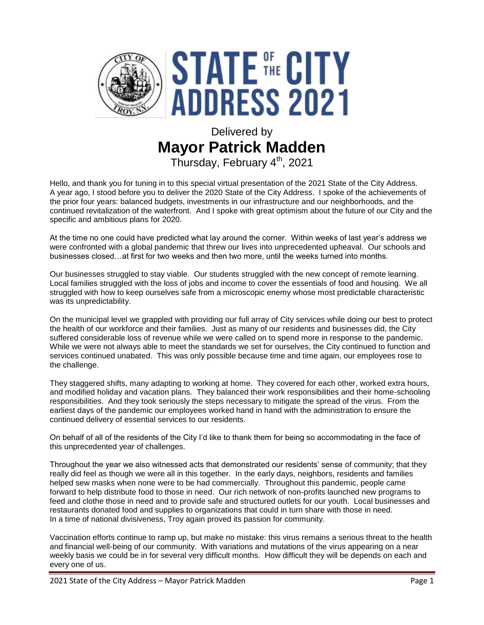

# Delivered by **Mayor Patrick Madden** Thursday, February 4<sup>th</sup>, 2021

Hello, and thank you for tuning in to this special virtual presentation of the 2021 State of the City Address. A year ago, I stood before you to deliver the 2020 State of the City Address. I spoke of the achievements of the prior four years: balanced budgets, investments in our infrastructure and our neighborhoods, and the continued revitalization of the waterfront. And I spoke with great optimism about the future of our City and the specific and ambitious plans for 2020.

At the time no one could have predicted what lay around the corner. Within weeks of last year's address we were confronted with a global pandemic that threw our lives into unprecedented upheaval. Our schools and businesses closed…at first for two weeks and then two more, until the weeks turned into months.

Our businesses struggled to stay viable. Our students struggled with the new concept of remote learning. Local families struggled with the loss of jobs and income to cover the essentials of food and housing. We all struggled with how to keep ourselves safe from a microscopic enemy whose most predictable characteristic was its unpredictability.

On the municipal level we grappled with providing our full array of City services while doing our best to protect the health of our workforce and their families. Just as many of our residents and businesses did, the City suffered considerable loss of revenue while we were called on to spend more in response to the pandemic. While we were not always able to meet the standards we set for ourselves, the City continued to function and services continued unabated. This was only possible because time and time again, our employees rose to the challenge.

They staggered shifts, many adapting to working at home. They covered for each other, worked extra hours, and modified holiday and vacation plans. They balanced their work responsibilities and their home-schooling responsibilities. And they took seriously the steps necessary to mitigate the spread of the virus. From the earliest days of the pandemic our employees worked hand in hand with the administration to ensure the continued delivery of essential services to our residents.

On behalf of all of the residents of the City I'd like to thank them for being so accommodating in the face of this unprecedented year of challenges.

Throughout the year we also witnessed acts that demonstrated our residents' sense of community; that they really did feel as though we were all in this together. In the early days, neighbors, residents and families helped sew masks when none were to be had commercially. Throughout this pandemic, people came forward to help distribute food to those in need. Our rich network of non-profits launched new programs to feed and clothe those in need and to provide safe and structured outlets for our youth. Local businesses and restaurants donated food and supplies to organizations that could in turn share with those in need. In a time of national divisiveness, Troy again proved its passion for community.

Vaccination efforts continue to ramp up, but make no mistake: this virus remains a serious threat to the health and financial well-being of our community. With variations and mutations of the virus appearing on a near weekly basis we could be in for several very difficult months. How difficult they will be depends on each and every one of us.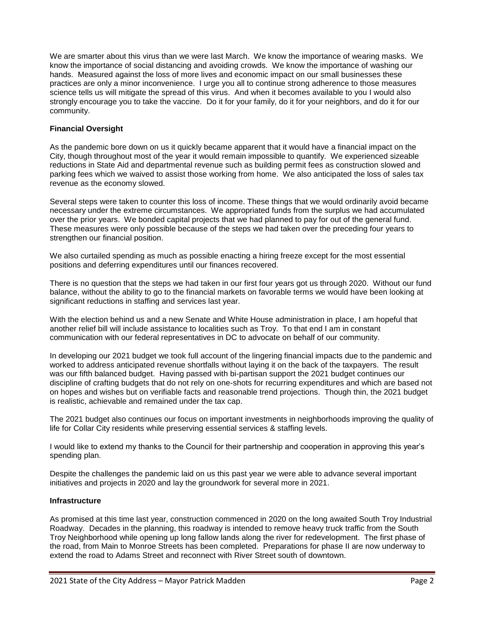We are smarter about this virus than we were last March. We know the importance of wearing masks. We know the importance of social distancing and avoiding crowds. We know the importance of washing our hands. Measured against the loss of more lives and economic impact on our small businesses these practices are only a minor inconvenience. I urge you all to continue strong adherence to those measures science tells us will mitigate the spread of this virus. And when it becomes available to you I would also strongly encourage you to take the vaccine. Do it for your family, do it for your neighbors, and do it for our community.

## **Financial Oversight**

As the pandemic bore down on us it quickly became apparent that it would have a financial impact on the City, though throughout most of the year it would remain impossible to quantify. We experienced sizeable reductions in State Aid and departmental revenue such as building permit fees as construction slowed and parking fees which we waived to assist those working from home. We also anticipated the loss of sales tax revenue as the economy slowed.

Several steps were taken to counter this loss of income. These things that we would ordinarily avoid became necessary under the extreme circumstances. We appropriated funds from the surplus we had accumulated over the prior years. We bonded capital projects that we had planned to pay for out of the general fund. These measures were only possible because of the steps we had taken over the preceding four years to strengthen our financial position.

We also curtailed spending as much as possible enacting a hiring freeze except for the most essential positions and deferring expenditures until our finances recovered.

There is no question that the steps we had taken in our first four years got us through 2020. Without our fund balance, without the ability to go to the financial markets on favorable terms we would have been looking at significant reductions in staffing and services last year.

With the election behind us and a new Senate and White House administration in place, I am hopeful that another relief bill will include assistance to localities such as Troy. To that end I am in constant communication with our federal representatives in DC to advocate on behalf of our community.

In developing our 2021 budget we took full account of the lingering financial impacts due to the pandemic and worked to address anticipated revenue shortfalls without laying it on the back of the taxpayers. The result was our fifth balanced budget. Having passed with bi-partisan support the 2021 budget continues our discipline of crafting budgets that do not rely on one-shots for recurring expenditures and which are based not on hopes and wishes but on verifiable facts and reasonable trend projections. Though thin, the 2021 budget is realistic, achievable and remained under the tax cap.

The 2021 budget also continues our focus on important investments in neighborhoods improving the quality of life for Collar City residents while preserving essential services & staffing levels.

I would like to extend my thanks to the Council for their partnership and cooperation in approving this year's spending plan.

Despite the challenges the pandemic laid on us this past year we were able to advance several important initiatives and projects in 2020 and lay the groundwork for several more in 2021.

#### **Infrastructure**

As promised at this time last year, construction commenced in 2020 on the long awaited South Troy Industrial Roadway. Decades in the planning, this roadway is intended to remove heavy truck traffic from the South Troy Neighborhood while opening up long fallow lands along the river for redevelopment. The first phase of the road, from Main to Monroe Streets has been completed. Preparations for phase II are now underway to extend the road to Adams Street and reconnect with River Street south of downtown.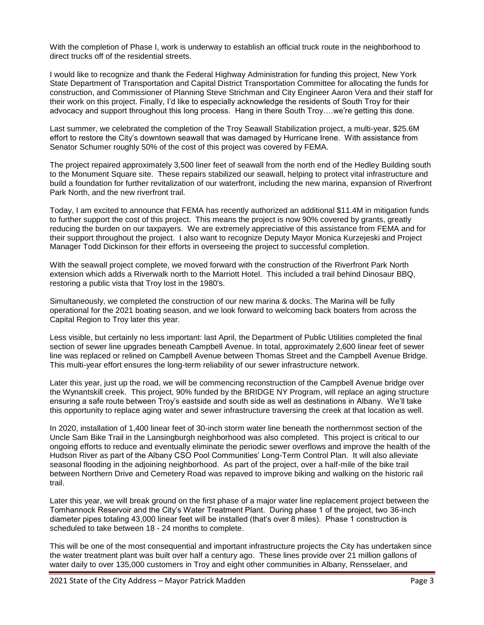With the completion of Phase I, work is underway to establish an official truck route in the neighborhood to direct trucks off of the residential streets.

I would like to recognize and thank the Federal Highway Administration for funding this project, New York State Department of Transportation and Capital District Transportation Committee for allocating the funds for construction, and Commissioner of Planning Steve Strichman and City Engineer Aaron Vera and their staff for their work on this project. Finally, I'd like to especially acknowledge the residents of South Troy for their advocacy and support throughout this long process. Hang in there South Troy….we're getting this done.

Last summer, we celebrated the completion of the Troy Seawall Stabilization project, a multi-year, \$25.6M effort to restore the City's downtown seawall that was damaged by Hurricane Irene. With assistance from Senator Schumer roughly 50% of the cost of this project was covered by FEMA.

The project repaired approximately 3,500 liner feet of seawall from the north end of the Hedley Building south to the Monument Square site. These repairs stabilized our seawall, helping to protect vital infrastructure and build a foundation for further revitalization of our waterfront, including the new marina, expansion of Riverfront Park North, and the new riverfront trail.

Today, I am excited to announce that FEMA has recently authorized an additional \$11.4M in mitigation funds to further support the cost of this project. This means the project is now 90% covered by grants, greatly reducing the burden on our taxpayers. We are extremely appreciative of this assistance from FEMA and for their support throughout the project. I also want to recognize Deputy Mayor Monica Kurzejeski and Project Manager Todd Dickinson for their efforts in overseeing the project to successful completion.

With the seawall project complete, we moved forward with the construction of the Riverfront Park North extension which adds a Riverwalk north to the Marriott Hotel. This included a trail behind Dinosaur BBQ, restoring a public vista that Troy lost in the 1980's.

Simultaneously, we completed the construction of our new marina & docks. The Marina will be fully operational for the 2021 boating season, and we look forward to welcoming back boaters from across the Capital Region to Troy later this year.

Less visible, but certainly no less important: last April, the Department of Public Utilities completed the final section of sewer line upgrades beneath Campbell Avenue. In total, approximately 2,600 linear feet of sewer line was replaced or relined on Campbell Avenue between Thomas Street and the Campbell Avenue Bridge. This multi-year effort ensures the long-term reliability of our sewer infrastructure network.

Later this year, just up the road, we will be commencing reconstruction of the Campbell Avenue bridge over the Wynantskill creek. This project, 90% funded by the BRIDGE NY Program, will replace an aging structure ensuring a safe route between Troy's eastside and south side as well as destinations in Albany. We'll take this opportunity to replace aging water and sewer infrastructure traversing the creek at that location as well.

In 2020, installation of 1,400 linear feet of 30-inch storm water line beneath the northernmost section of the Uncle Sam Bike Trail in the Lansingburgh neighborhood was also completed. This project is critical to our ongoing efforts to reduce and eventually eliminate the periodic sewer overflows and improve the health of the Hudson River as part of the Albany CSO Pool Communities' Long-Term Control Plan. It will also alleviate seasonal flooding in the adjoining neighborhood. As part of the project, over a half-mile of the bike trail between Northern Drive and Cemetery Road was repaved to improve biking and walking on the historic rail trail.

Later this year, we will break ground on the first phase of a major water line replacement project between the Tomhannock Reservoir and the City's Water Treatment Plant. During phase 1 of the project, two 36-inch diameter pipes totaling 43,000 linear feet will be installed (that's over 8 miles). Phase 1 construction is scheduled to take between 18 - 24 months to complete.

This will be one of the most consequential and important infrastructure projects the City has undertaken since the water treatment plant was built over half a century ago. These lines provide over 21 million gallons of water daily to over 135,000 customers in Troy and eight other communities in Albany, Rensselaer, and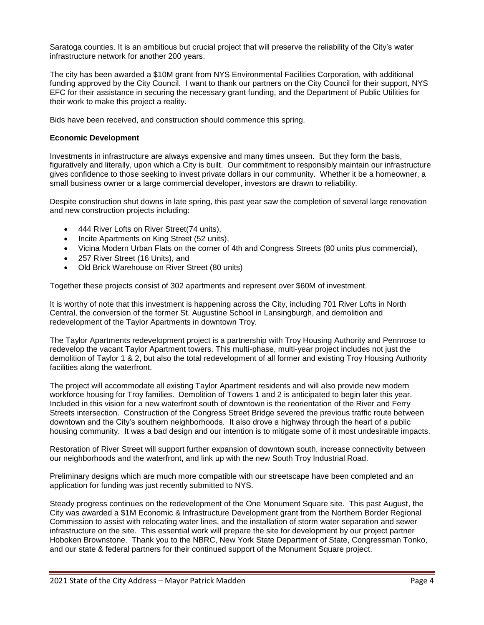Saratoga counties. It is an ambitious but crucial project that will preserve the reliability of the City's water infrastructure network for another 200 years.

The city has been awarded a \$10M grant from NYS Environmental Facilities Corporation, with additional funding approved by the City Council. I want to thank our partners on the City Council for their support, NYS EFC for their assistance in securing the necessary grant funding, and the Department of Public Utilities for their work to make this project a reality.

Bids have been received, and construction should commence this spring.

#### **Economic Development**

Investments in infrastructure are always expensive and many times unseen. But they form the basis, figuratively and literally, upon which a City is built. Our commitment to responsibly maintain our infrastructure gives confidence to those seeking to invest private dollars in our community. Whether it be a homeowner, a small business owner or a large commercial developer, investors are drawn to reliability.

Despite construction shut downs in late spring, this past year saw the completion of several large renovation and new construction projects including:

- 444 River Lofts on River Street(74 units),
- Incite Apartments on King Street (52 units),
- Vicina Modern Urban Flats on the corner of 4th and Congress Streets (80 units plus commercial),
- 257 River Street (16 Units), and
- Old Brick Warehouse on River Street (80 units)

Together these projects consist of 302 apartments and represent over \$60M of investment.

It is worthy of note that this investment is happening across the City, including 701 River Lofts in North Central, the conversion of the former St. Augustine School in Lansingburgh, and demolition and redevelopment of the Taylor Apartments in downtown Troy.

The Taylor Apartments redevelopment project is a partnership with Troy Housing Authority and Pennrose to redevelop the vacant Taylor Apartment towers. This multi-phase, multi-year project includes not just the demolition of Taylor 1 & 2, but also the total redevelopment of all former and existing Troy Housing Authority facilities along the waterfront.

The project will accommodate all existing Taylor Apartment residents and will also provide new modern workforce housing for Troy families. Demolition of Towers 1 and 2 is anticipated to begin later this year. Included in this vision for a new waterfront south of downtown is the reorientation of the River and Ferry Streets intersection. Construction of the Congress Street Bridge severed the previous traffic route between downtown and the City's southern neighborhoods. It also drove a highway through the heart of a public housing community. It was a bad design and our intention is to mitigate some of it most undesirable impacts.

Restoration of River Street will support further expansion of downtown south, increase connectivity between our neighborhoods and the waterfront, and link up with the new South Troy Industrial Road.

Preliminary designs which are much more compatible with our streetscape have been completed and an application for funding was just recently submitted to NYS.

Steady progress continues on the redevelopment of the One Monument Square site. This past August, the City was awarded a \$1M Economic & Infrastructure Development grant from the Northern Border Regional Commission to assist with relocating water lines, and the installation of storm water separation and sewer infrastructure on the site. This essential work will prepare the site for development by our project partner Hoboken Brownstone. Thank you to the NBRC, New York State Department of State, Congressman Tonko, and our state & federal partners for their continued support of the Monument Square project.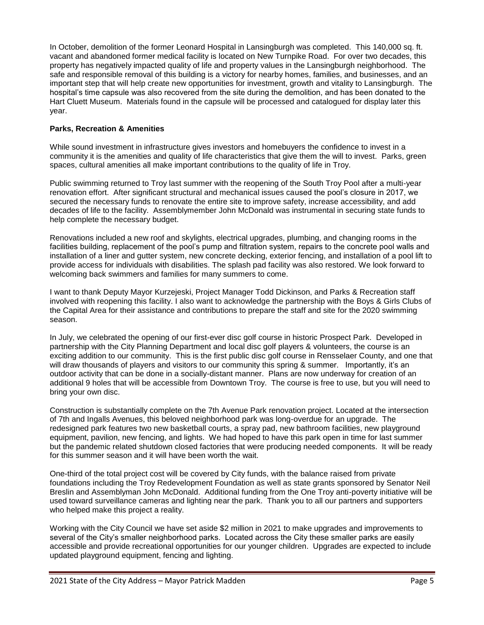In October, demolition of the former Leonard Hospital in Lansingburgh was completed. This 140,000 sq. ft. vacant and abandoned former medical facility is located on New Turnpike Road. For over two decades, this property has negatively impacted quality of life and property values in the Lansingburgh neighborhood. The safe and responsible removal of this building is a victory for nearby homes, families, and businesses, and an important step that will help create new opportunities for investment, growth and vitality to Lansingburgh. The hospital's time capsule was also recovered from the site during the demolition, and has been donated to the Hart Cluett Museum. Materials found in the capsule will be processed and catalogued for display later this year.

## **Parks, Recreation & Amenities**

While sound investment in infrastructure gives investors and homebuyers the confidence to invest in a community it is the amenities and quality of life characteristics that give them the will to invest. Parks, green spaces, cultural amenities all make important contributions to the quality of life in Troy.

Public swimming returned to Troy last summer with the reopening of the South Troy Pool after a multi-year renovation effort. After significant structural and mechanical issues caused the pool's closure in 2017, we secured the necessary funds to renovate the entire site to improve safety, increase accessibility, and add decades of life to the facility. Assemblymember John McDonald was instrumental in securing state funds to help complete the necessary budget.

Renovations included a new roof and skylights, electrical upgrades, plumbing, and changing rooms in the facilities building, replacement of the pool's pump and filtration system, repairs to the concrete pool walls and installation of a liner and gutter system, new concrete decking, exterior fencing, and installation of a pool lift to provide access for individuals with disabilities. The splash pad facility was also restored. We look forward to welcoming back swimmers and families for many summers to come.

I want to thank Deputy Mayor Kurzejeski, Project Manager Todd Dickinson, and Parks & Recreation staff involved with reopening this facility. I also want to acknowledge the partnership with the Boys & Girls Clubs of the Capital Area for their assistance and contributions to prepare the staff and site for the 2020 swimming season.

In July, we celebrated the opening of our first-ever disc golf course in historic Prospect Park. Developed in partnership with the City Planning Department and local disc golf players & volunteers, the course is an exciting addition to our community. This is the first public disc golf course in Rensselaer County, and one that will draw thousands of players and visitors to our community this spring & summer. Importantly, it's an outdoor activity that can be done in a socially-distant manner. Plans are now underway for creation of an additional 9 holes that will be accessible from Downtown Troy. The course is free to use, but you will need to bring your own disc.

Construction is substantially complete on the 7th Avenue Park renovation project. Located at the intersection of 7th and Ingalls Avenues, this beloved neighborhood park was long-overdue for an upgrade. The redesigned park features two new basketball courts, a spray pad, new bathroom facilities, new playground equipment, pavilion, new fencing, and lights. We had hoped to have this park open in time for last summer but the pandemic related shutdown closed factories that were producing needed components. It will be ready for this summer season and it will have been worth the wait.

One-third of the total project cost will be covered by City funds, with the balance raised from private foundations including the Troy Redevelopment Foundation as well as state grants sponsored by Senator Neil Breslin and Assemblyman John McDonald. Additional funding from the One Troy anti-poverty initiative will be used toward surveillance cameras and lighting near the park. Thank you to all our partners and supporters who helped make this project a reality.

Working with the City Council we have set aside \$2 million in 2021 to make upgrades and improvements to several of the City's smaller neighborhood parks. Located across the City these smaller parks are easily accessible and provide recreational opportunities for our younger children. Upgrades are expected to include updated playground equipment, fencing and lighting.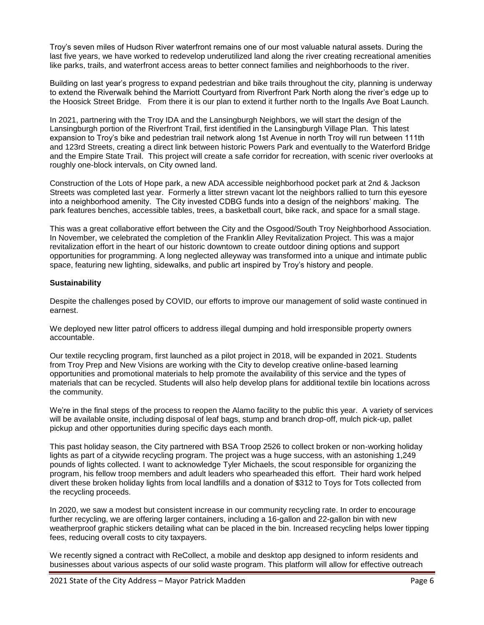Troy's seven miles of Hudson River waterfront remains one of our most valuable natural assets. During the last five years, we have worked to redevelop underutilized land along the river creating recreational amenities like parks, trails, and waterfront access areas to better connect families and neighborhoods to the river.

Building on last year's progress to expand pedestrian and bike trails throughout the city, planning is underway to extend the Riverwalk behind the Marriott Courtyard from Riverfront Park North along the river's edge up to the Hoosick Street Bridge. From there it is our plan to extend it further north to the Ingalls Ave Boat Launch.

In 2021, partnering with the Troy IDA and the Lansingburgh Neighbors, we will start the design of the Lansingburgh portion of the Riverfront Trail, first identified in the Lansingburgh Village Plan. This latest expansion to Troy's bike and pedestrian trail network along 1st Avenue in north Troy will run between 111th and 123rd Streets, creating a direct link between historic Powers Park and eventually to the Waterford Bridge and the Empire State Trail. This project will create a safe corridor for recreation, with scenic river overlooks at roughly one-block intervals, on City owned land.

Construction of the Lots of Hope park, a new ADA accessible neighborhood pocket park at 2nd & Jackson Streets was completed last year. Formerly a litter strewn vacant lot the neighbors rallied to turn this eyesore into a neighborhood amenity. The City invested CDBG funds into a design of the neighbors' making. The park features benches, accessible tables, trees, a basketball court, bike rack, and space for a small stage.

This was a great collaborative effort between the City and the Osgood/South Troy Neighborhood Association. In November, we celebrated the completion of the Franklin Alley Revitalization Project. This was a major revitalization effort in the heart of our historic downtown to create outdoor dining options and support opportunities for programming. A long neglected alleyway was transformed into a unique and intimate public space, featuring new lighting, sidewalks, and public art inspired by Troy's history and people.

## **Sustainability**

Despite the challenges posed by COVID, our efforts to improve our management of solid waste continued in earnest.

We deployed new litter patrol officers to address illegal dumping and hold irresponsible property owners accountable.

Our textile recycling program, first launched as a pilot project in 2018, will be expanded in 2021. Students from Troy Prep and New Visions are working with the City to develop creative online-based learning opportunities and promotional materials to help promote the availability of this service and the types of materials that can be recycled. Students will also help develop plans for additional textile bin locations across the community.

We're in the final steps of the process to reopen the Alamo facility to the public this year. A variety of services will be available onsite, including disposal of leaf bags, stump and branch drop-off, mulch pick-up, pallet pickup and other opportunities during specific days each month.

This past holiday season, the City partnered with BSA Troop 2526 to collect broken or non-working holiday lights as part of a citywide recycling program. The project was a huge success, with an astonishing 1,249 pounds of lights collected. I want to acknowledge Tyler Michaels, the scout responsible for organizing the program, his fellow troop members and adult leaders who spearheaded this effort. Their hard work helped divert these broken holiday lights from local landfills and a donation of \$312 to Toys for Tots collected from the recycling proceeds.

In 2020, we saw a modest but consistent increase in our community recycling rate. In order to encourage further recycling, we are offering larger containers, including a 16-gallon and 22-gallon bin with new weatherproof graphic stickers detailing what can be placed in the bin. Increased recycling helps lower tipping fees, reducing overall costs to city taxpayers.

We recently signed a contract with ReCollect, a mobile and desktop app designed to inform residents and businesses about various aspects of our solid waste program. This platform will allow for effective outreach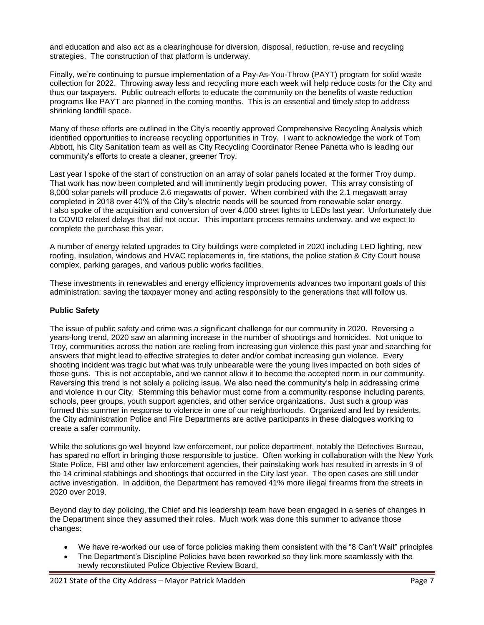and education and also act as a clearinghouse for diversion, disposal, reduction, re-use and recycling strategies. The construction of that platform is underway.

Finally, we're continuing to pursue implementation of a Pay-As-You-Throw (PAYT) program for solid waste collection for 2022. Throwing away less and recycling more each week will help reduce costs for the City and thus our taxpayers. Public outreach efforts to educate the community on the benefits of waste reduction programs like PAYT are planned in the coming months. This is an essential and timely step to address shrinking landfill space.

Many of these efforts are outlined in the City's recently approved Comprehensive Recycling Analysis which identified opportunities to increase recycling opportunities in Troy. I want to acknowledge the work of Tom Abbott, his City Sanitation team as well as City Recycling Coordinator Renee Panetta who is leading our community's efforts to create a cleaner, greener Troy.

Last year I spoke of the start of construction on an array of solar panels located at the former Troy dump. That work has now been completed and will imminently begin producing power. This array consisting of 8,000 solar panels will produce 2.6 megawatts of power. When combined with the 2.1 megawatt array completed in 2018 over 40% of the City's electric needs will be sourced from renewable solar energy. I also spoke of the acquisition and conversion of over 4,000 street lights to LEDs last year. Unfortunately due to COVID related delays that did not occur. This important process remains underway, and we expect to complete the purchase this year.

A number of energy related upgrades to City buildings were completed in 2020 including LED lighting, new roofing, insulation, windows and HVAC replacements in, fire stations, the police station & City Court house complex, parking garages, and various public works facilities.

These investments in renewables and energy efficiency improvements advances two important goals of this administration: saving the taxpayer money and acting responsibly to the generations that will follow us.

#### **Public Safety**

The issue of public safety and crime was a significant challenge for our community in 2020. Reversing a years-long trend, 2020 saw an alarming increase in the number of shootings and homicides. Not unique to Troy, communities across the nation are reeling from increasing gun violence this past year and searching for answers that might lead to effective strategies to deter and/or combat increasing gun violence. Every shooting incident was tragic but what was truly unbearable were the young lives impacted on both sides of those guns. This is not acceptable, and we cannot allow it to become the accepted norm in our community. Reversing this trend is not solely a policing issue. We also need the community's help in addressing crime and violence in our City. Stemming this behavior must come from a community response including parents, schools, peer groups, youth support agencies, and other service organizations. Just such a group was formed this summer in response to violence in one of our neighborhoods. Organized and led by residents, the City administration Police and Fire Departments are active participants in these dialogues working to create a safer community.

While the solutions go well beyond law enforcement, our police department, notably the Detectives Bureau, has spared no effort in bringing those responsible to justice. Often working in collaboration with the New York State Police, FBI and other law enforcement agencies, their painstaking work has resulted in arrests in 9 of the 14 criminal stabbings and shootings that occurred in the City last year. The open cases are still under active investigation. In addition, the Department has removed 41% more illegal firearms from the streets in 2020 over 2019.

Beyond day to day policing, the Chief and his leadership team have been engaged in a series of changes in the Department since they assumed their roles. Much work was done this summer to advance those changes:

- We have re-worked our use of force policies making them consistent with the "8 Can't Wait" principles
- The Department's Discipline Policies have been reworked so they link more seamlessly with the newly reconstituted Police Objective Review Board,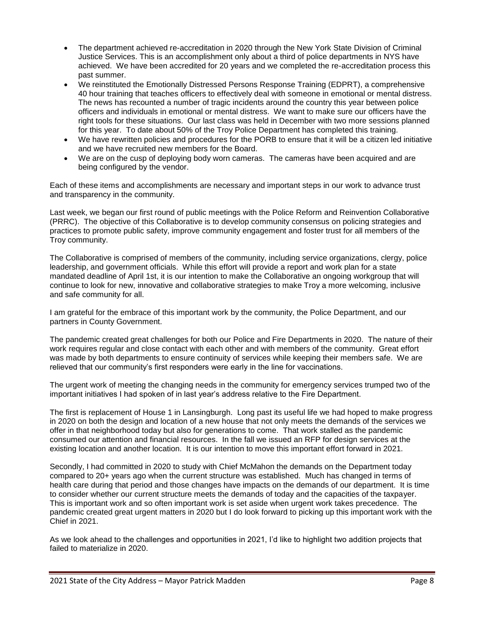- The department achieved re-accreditation in 2020 through the New York State Division of Criminal Justice Services. This is an accomplishment only about a third of police departments in NYS have achieved. We have been accredited for 20 years and we completed the re-accreditation process this past summer.
- We reinstituted the Emotionally Distressed Persons Response Training (EDPRT), a comprehensive 40 hour training that teaches officers to effectively deal with someone in emotional or mental distress. The news has recounted a number of tragic incidents around the country this year between police officers and individuals in emotional or mental distress. We want to make sure our officers have the right tools for these situations. Our last class was held in December with two more sessions planned for this year. To date about 50% of the Troy Police Department has completed this training.
- We have rewritten policies and procedures for the PORB to ensure that it will be a citizen led initiative and we have recruited new members for the Board.
- We are on the cusp of deploying body worn cameras. The cameras have been acquired and are being configured by the vendor.

Each of these items and accomplishments are necessary and important steps in our work to advance trust and transparency in the community.

Last week, we began our first round of public meetings with the Police Reform and Reinvention Collaborative (PRRC). The objective of this Collaborative is to develop community consensus on policing strategies and practices to promote public safety, improve community engagement and foster trust for all members of the Troy community.

The Collaborative is comprised of members of the community, including service organizations, clergy, police leadership, and government officials. While this effort will provide a report and work plan for a state mandated deadline of April 1st, it is our intention to make the Collaborative an ongoing workgroup that will continue to look for new, innovative and collaborative strategies to make Troy a more welcoming, inclusive and safe community for all.

I am grateful for the embrace of this important work by the community, the Police Department, and our partners in County Government.

The pandemic created great challenges for both our Police and Fire Departments in 2020. The nature of their work requires regular and close contact with each other and with members of the community. Great effort was made by both departments to ensure continuity of services while keeping their members safe. We are relieved that our community's first responders were early in the line for vaccinations.

The urgent work of meeting the changing needs in the community for emergency services trumped two of the important initiatives I had spoken of in last year's address relative to the Fire Department.

The first is replacement of House 1 in Lansingburgh. Long past its useful life we had hoped to make progress in 2020 on both the design and location of a new house that not only meets the demands of the services we offer in that neighborhood today but also for generations to come. That work stalled as the pandemic consumed our attention and financial resources. In the fall we issued an RFP for design services at the existing location and another location. It is our intention to move this important effort forward in 2021.

Secondly, I had committed in 2020 to study with Chief McMahon the demands on the Department today compared to 20+ years ago when the current structure was established. Much has changed in terms of health care during that period and those changes have impacts on the demands of our department. It is time to consider whether our current structure meets the demands of today and the capacities of the taxpayer. This is important work and so often important work is set aside when urgent work takes precedence. The pandemic created great urgent matters in 2020 but I do look forward to picking up this important work with the Chief in 2021.

As we look ahead to the challenges and opportunities in 2021, I'd like to highlight two addition projects that failed to materialize in 2020.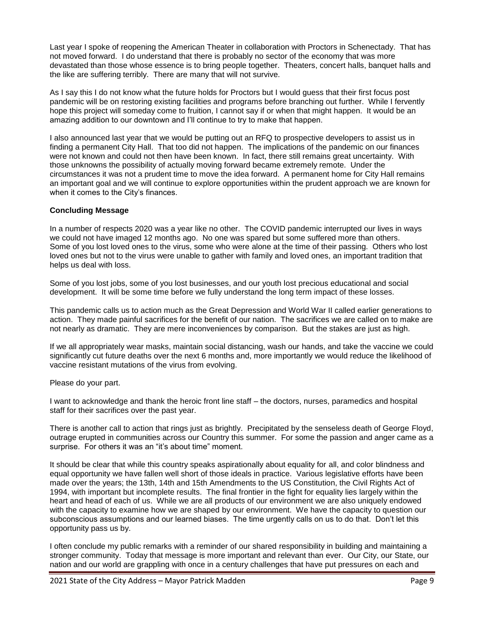Last year I spoke of reopening the American Theater in collaboration with Proctors in Schenectady. That has not moved forward. I do understand that there is probably no sector of the economy that was more devastated than those whose essence is to bring people together. Theaters, concert halls, banquet halls and the like are suffering terribly. There are many that will not survive.

As I say this I do not know what the future holds for Proctors but I would guess that their first focus post pandemic will be on restoring existing facilities and programs before branching out further. While I fervently hope this project will someday come to fruition, I cannot say if or when that might happen. It would be an amazing addition to our downtown and I'll continue to try to make that happen.

I also announced last year that we would be putting out an RFQ to prospective developers to assist us in finding a permanent City Hall. That too did not happen. The implications of the pandemic on our finances were not known and could not then have been known. In fact, there still remains great uncertainty. With those unknowns the possibility of actually moving forward became extremely remote. Under the circumstances it was not a prudent time to move the idea forward. A permanent home for City Hall remains an important goal and we will continue to explore opportunities within the prudent approach we are known for when it comes to the City's finances.

## **Concluding Message**

In a number of respects 2020 was a year like no other. The COVID pandemic interrupted our lives in ways we could not have imaged 12 months ago. No one was spared but some suffered more than others. Some of you lost loved ones to the virus, some who were alone at the time of their passing. Others who lost loved ones but not to the virus were unable to gather with family and loved ones, an important tradition that helps us deal with loss.

Some of you lost jobs, some of you lost businesses, and our youth lost precious educational and social development. It will be some time before we fully understand the long term impact of these losses.

This pandemic calls us to action much as the Great Depression and World War II called earlier generations to action. They made painful sacrifices for the benefit of our nation. The sacrifices we are called on to make are not nearly as dramatic. They are mere inconveniences by comparison. But the stakes are just as high.

If we all appropriately wear masks, maintain social distancing, wash our hands, and take the vaccine we could significantly cut future deaths over the next 6 months and, more importantly we would reduce the likelihood of vaccine resistant mutations of the virus from evolving.

Please do your part.

I want to acknowledge and thank the heroic front line staff – the doctors, nurses, paramedics and hospital staff for their sacrifices over the past year.

There is another call to action that rings just as brightly. Precipitated by the senseless death of George Floyd, outrage erupted in communities across our Country this summer. For some the passion and anger came as a surprise. For others it was an "it's about time" moment.

It should be clear that while this country speaks aspirationally about equality for all, and color blindness and equal opportunity we have fallen well short of those ideals in practice. Various legislative efforts have been made over the years; the 13th, 14th and 15th Amendments to the US Constitution, the Civil Rights Act of 1994, with important but incomplete results. The final frontier in the fight for equality lies largely within the heart and head of each of us. While we are all products of our environment we are also uniquely endowed with the capacity to examine how we are shaped by our environment. We have the capacity to question our subconscious assumptions and our learned biases. The time urgently calls on us to do that. Don't let this opportunity pass us by.

I often conclude my public remarks with a reminder of our shared responsibility in building and maintaining a stronger community. Today that message is more important and relevant than ever. Our City, our State, our nation and our world are grappling with once in a century challenges that have put pressures on each and